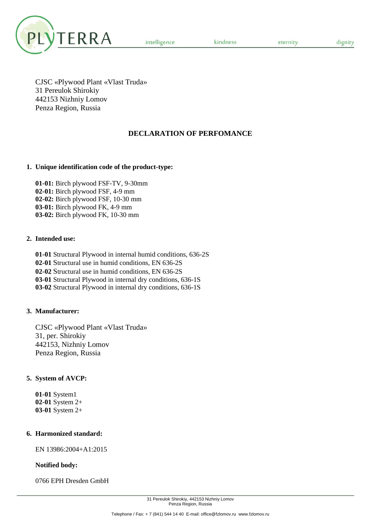

kindness

dignity

CJSC «Plywood Plant «Vlast Truda» 31 Pereulok Shirokiy 442153 Nizhniy Lomov Penza Region, Russia

# **DECLARATION OF PERFOMANCE**

#### **1. Unique identification code of the product-type:**

**01-01:** Birch plywood FSF-TV, 9-30mm **02-01:** Birch plywood FSF, 4-9 mm **02-02:** Birch plywood FSF, 10-30 mm **03-01:** Birch plywood FK, 4-9 mm **03-02:** Birch plywood FK, 10-30 mm

#### **2. Intended use:**

**01-01** Structural Plywood in internal humid conditions, 636-2S **02-01** Structural use in humid conditions, EN 636-2S **02-02** Structural use in humid conditions, EN 636-2S **03-01** Structural Plywood in internal dry conditions, 636-1S **03-02** Structural Plywood in internal dry conditions, 636-1S

## **3. Manufacturer:**

CJSC «Plywood Plant «Vlast Truda» 31, per. Shirokiy 442153, Nizhniy Lomov Penza Region, Russia

## **5. System of AVCP:**

**01-01** System1 **02-01** System 2+ **03-01** System 2+

#### **6. Harmonized standard:**

EN 13986:2004+A1:2015

#### **Notified body:**

0766 EPH Dresden GmbH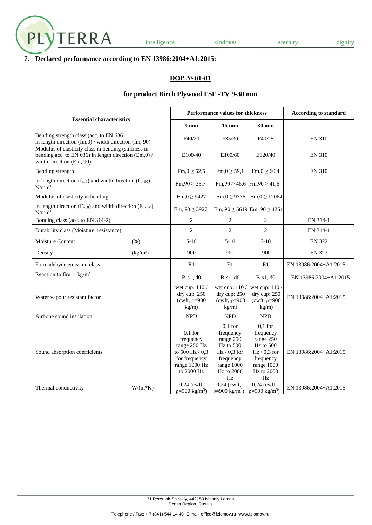

## **7. Declared performance according to EN 13986:2004+A1:2015:**

#### **DOP № 01-01**

#### **for product Birch Plywood FSF -TV 9-30 mm**

|                                                                                                                                          |                                                                                                               | Performance values for thickness                                                                                       | <b>According to standard</b>                                                                                             |                       |
|------------------------------------------------------------------------------------------------------------------------------------------|---------------------------------------------------------------------------------------------------------------|------------------------------------------------------------------------------------------------------------------------|--------------------------------------------------------------------------------------------------------------------------|-----------------------|
| <b>Essential characteristics</b>                                                                                                         | 9 <sub>mm</sub>                                                                                               | $15 \text{ mm}$                                                                                                        | 30 mm                                                                                                                    |                       |
| Bending strength class (acc. to EN 636)<br>in length direction (fm,0) / width direction (fm, 90)                                         | F40/20                                                                                                        | F35/30                                                                                                                 | F40/25                                                                                                                   | <b>EN 310</b>         |
| Modulus of elasticity class in bending (stiffness in<br>bending acc. to EN 636) in length direction (Em,0) /<br>width direction (Em, 90) | E100/40                                                                                                       | E100/60                                                                                                                | E120/40                                                                                                                  | <b>EN 310</b>         |
| Bending strength                                                                                                                         | $\text{Fm,0} \ge 62,5$                                                                                        | $Fm, 0 \ge 59, 1$                                                                                                      | $\text{Fm,0} \ge 60,4$                                                                                                   | <b>EN 310</b>         |
| in length direction $(f_{m,0})$ and width direction $(f_{m,90})$<br>N/mm <sup>2</sup>                                                    | $Fm, 90 \ge 35,7$                                                                                             | Fm, 90 $\geq$ 46,6 Fm, 90 $\geq$ 41,6                                                                                  |                                                                                                                          |                       |
| Modulus of elasticity in bending                                                                                                         | $Em, 0 \ge 9427$                                                                                              | $Em, 0 \ge 9336$                                                                                                       | $Em, 0 \ge 12064$                                                                                                        |                       |
| in length direction $(E_{m,0})$ and width direction $(E_{m,90})$<br>$N/mm^2$                                                             | Em, $90 \ge 3927$                                                                                             |                                                                                                                        | Em, $90 \ge 5619$ Em, $90 \ge 4251$                                                                                      |                       |
| Bonding class (acc. to EN 314-2)                                                                                                         | 2                                                                                                             | 2                                                                                                                      | 2                                                                                                                        | EN 314-1              |
| Durability class (Moisture resistance)                                                                                                   | $\overline{c}$                                                                                                | $\overline{2}$                                                                                                         | $\overline{2}$                                                                                                           | EN 314-1              |
| <b>Moisture Content</b><br>(% )                                                                                                          | $5-10$                                                                                                        | $5-10$                                                                                                                 | $5-10$                                                                                                                   | <b>EN 322</b>         |
| (kg/m <sup>3</sup> )<br>Density                                                                                                          | 900                                                                                                           | 900                                                                                                                    | 900                                                                                                                      | <b>EN 323</b>         |
| Formadehyde emission class                                                                                                               | E1                                                                                                            | E1                                                                                                                     | E1                                                                                                                       | EN 13986:2004+A1:2015 |
| Reaction to fire<br>kg/m <sup>3</sup>                                                                                                    | $B-s1, d0$                                                                                                    | $B-s1, d0$                                                                                                             | $B-s1, d0$                                                                                                               | EN 13986:2004+A1:2015 |
| Water vapour resistant factor                                                                                                            | wet cup: $110/$<br>dry cup: 250<br>(cwft, $\rho = 900$<br>kg/m)                                               | wet cup: 110/<br>dry cup: 250<br>(cwft, $\rho = 900$<br>kg/m)                                                          | wet cup: 110<br>dry cup: 250<br>(cwft, $\rho = 900$<br>kg/m)                                                             | EN 13986:2004+A1:2015 |
| Airbone sound insulation                                                                                                                 | <b>NPD</b>                                                                                                    | <b>NPD</b>                                                                                                             | <b>NPD</b>                                                                                                               |                       |
| Sound absorption coefficients                                                                                                            | $0,1$ for<br>frequency<br>range 250 Hz<br>to $500$ Hz $/ 0.3$<br>for frequency<br>range 1000 Hz<br>to 2000 Hz | $0,1$ for<br>frequency<br>range 250<br>Hz to 500<br>$Hz/0,3$ for<br>frequency<br>range 1000<br><b>Hz</b> to 2000<br>Hz | $0,1$ for<br>frequency<br>range 250<br>Hz to 500<br>$Hz / 0.3$ for<br>frequency<br>range 1000<br><b>Hz</b> to 2000<br>Hz | EN 13986:2004+A1:2015 |
| $W/(m*K)$<br>Thermal conductivity                                                                                                        | $0.24$ (cwft,<br>$p=900 \text{ kg/m}^3$                                                                       | $0,24$ (cwft,<br>$p=900 \text{ kg/m}^3$                                                                                | $0,24$ (cwft,<br>$p=900 \text{ kg/m}^3$                                                                                  | EN 13986:2004+A1:2015 |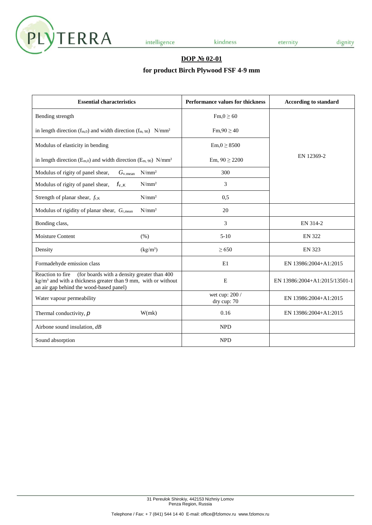

kindness

### **DOP № 02-01**

# **for product Birch Plywood FSF 4-9 mm**

| <b>Essential characteristics</b>                                                                                                                                                      | <b>Performance values for thickness</b> | <b>According to standard</b>  |
|---------------------------------------------------------------------------------------------------------------------------------------------------------------------------------------|-----------------------------------------|-------------------------------|
| Bending strength                                                                                                                                                                      | $\text{Fm}, 0 \geq 60$                  |                               |
| in length direction ( $f_{m,0}$ ) and width direction ( $f_{m,90}$ ) N/mm <sup>2</sup>                                                                                                | $Fm,90 \ge 40$                          |                               |
| Modulus of elasticity in bending                                                                                                                                                      | $Em, 0 \geq 8500$                       |                               |
| in length direction ( $E_{m,0}$ ) and width direction ( $E_{m,90}$ ) N/mm <sup>2</sup>                                                                                                | Em, $90 \ge 2200$                       | EN 12369-2                    |
| $N/mm^2$<br>Modulus of rigity of panel shear,<br>$G_{v,mean}$                                                                                                                         | 300                                     |                               |
| $N/mm^2$<br>$f_{v,K}$<br>Modulus of rigity of panel shear,                                                                                                                            | 3                                       |                               |
| $N/mm^2$<br>Strength of planar shear, $f_{r,K}$                                                                                                                                       | 0,5                                     |                               |
| $N/mm^2$<br>Modulus of rigidity of planar shear, Gr,mean                                                                                                                              | 20                                      |                               |
| Bonding class,                                                                                                                                                                        | 3                                       | EN 314-2                      |
| <b>Moisture Content</b><br>(% )                                                                                                                                                       | $5-10$                                  | <b>EN 322</b>                 |
| (kg/m <sup>3</sup> )<br>Density                                                                                                                                                       | $\geq 650$                              | <b>EN 323</b>                 |
| Formadehyde emission class                                                                                                                                                            | E1                                      | EN 13986:2004+A1:2015         |
| Reaction to fire<br>(for boards with a density greater than 400<br>$\text{kg/m}^3$ and with a thickness greater than 9 mm, with or without<br>an air gap behind the wood-based panel) | E                                       | EN 13986:2004+A1:2015/13501-1 |
| Water vapour permeability                                                                                                                                                             | wet cup: 200 /<br>dry cup: 70           | EN 13986:2004+A1:2015         |
| W(mk)<br>Thermal conductivity, $p$                                                                                                                                                    | 0.16                                    | EN 13986:2004+A1:2015         |
| Airbone sound insulation, $dB$                                                                                                                                                        | <b>NPD</b>                              |                               |
| Sound absorption                                                                                                                                                                      | <b>NPD</b>                              |                               |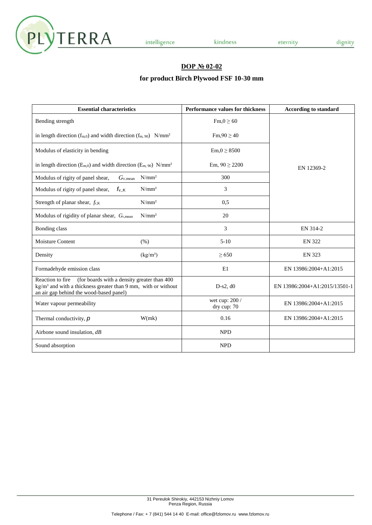

kindness

# **DOP № 02-02**

# **for product Birch Plywood FSF 10-30 mm**

| <b>Essential characteristics</b>                                                                                                                                                        |                      | <b>Performance values for thickness</b> | <b>According to standard</b>  |
|-----------------------------------------------------------------------------------------------------------------------------------------------------------------------------------------|----------------------|-----------------------------------------|-------------------------------|
| Bending strength                                                                                                                                                                        |                      | $Fm, 0 \geq 60$                         |                               |
| in length direction $(f_{m,0})$ and width direction $(f_{m,90})$ N/mm <sup>2</sup>                                                                                                      |                      | $Fm,90 \ge 40$                          |                               |
| Modulus of elasticity in bending                                                                                                                                                        |                      | $Em, 0 \geq 8500$                       |                               |
| in length direction ( $E_{m,0}$ ) and width direction ( $E_{m,90}$ ) N/mm <sup>2</sup>                                                                                                  |                      | Em, $90 \ge 2200$                       | EN 12369-2                    |
| Modulus of rigity of panel shear,<br>$G_{v,mean}$                                                                                                                                       | $N/mm^2$             | 300                                     |                               |
| Modulus of rigity of panel shear,<br>$f_{v,K}$                                                                                                                                          | $N/mm^2$             | 3                                       |                               |
| Strength of planar shear, $f_{r,K}$                                                                                                                                                     | $N/mm^2$             | 0,5                                     |                               |
| Modulus of rigidity of planar shear, Gr,mean                                                                                                                                            | $N/mm^2$             | 20                                      |                               |
| Bonding class                                                                                                                                                                           |                      | 3                                       | EN 314-2                      |
| <b>Moisture Content</b><br>(% )                                                                                                                                                         |                      | $5-10$                                  | <b>EN 322</b>                 |
| Density                                                                                                                                                                                 | (kg/m <sup>3</sup> ) | $\geq 650$                              | <b>EN 323</b>                 |
| Formadehyde emission class                                                                                                                                                              |                      | E1                                      | EN 13986:2004+A1:2015         |
| (for boards with a density greater than 400<br>Reaction to fire<br>kg/m <sup>3</sup> and with a thickness greater than 9 mm, with or without<br>an air gap behind the wood-based panel) |                      | $D-s2, d0$                              | EN 13986:2004+A1:2015/13501-1 |
| Water vapour permeability                                                                                                                                                               |                      | wet cup: 200 /<br>dry cup: 70           | EN 13986:2004+A1:2015         |
| Thermal conductivity, $p$                                                                                                                                                               | W(mk)                | 0.16                                    | EN 13986:2004+A1:2015         |
| Airbone sound insulation, $dB$                                                                                                                                                          |                      | <b>NPD</b>                              |                               |
| Sound absorption                                                                                                                                                                        |                      | <b>NPD</b>                              |                               |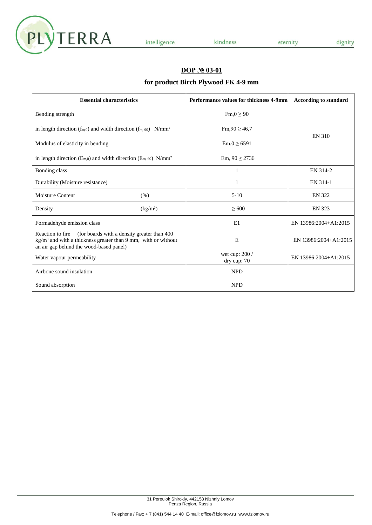

kindness

#### **DOP № 03-01**

# **for product Birch Plywood FK 4-9 mm**

| <b>Essential characteristics</b>                                                                                                                                                      | Performance values for thickness 4-9mm | <b>According to standard</b> |
|---------------------------------------------------------------------------------------------------------------------------------------------------------------------------------------|----------------------------------------|------------------------------|
| Bending strength                                                                                                                                                                      | $\text{Fm}, 0 \geq 90$                 |                              |
| in length direction ( $f_{m,0}$ ) and width direction ( $f_{m,90}$ ) N/mm <sup>2</sup>                                                                                                | $\text{Fm,}90 \ge 46,7$                | EN 310                       |
| Modulus of elasticity in bending                                                                                                                                                      | $Em, 0 \ge 6591$                       |                              |
| in length direction ( $E_{m,0}$ ) and width direction ( $E_{m,90}$ ) N/mm <sup>2</sup>                                                                                                | Em, $90 \ge 2736$                      |                              |
| Bonding class                                                                                                                                                                         | 1                                      | EN 314-2                     |
| Durability (Moisture resistance)                                                                                                                                                      | 1                                      | EN 314-1                     |
| Moisture Content<br>(% )                                                                                                                                                              | $5-10$                                 | <b>EN 322</b>                |
| (kg/m <sup>3</sup> )<br>Density                                                                                                                                                       | $\geq 600$                             | <b>EN 323</b>                |
| Formadehyde emission class                                                                                                                                                            | E1                                     | EN 13986:2004+A1:2015        |
| Reaction to fire (for boards with a density greater than 400)<br>kg/m <sup>3</sup> and with a thickness greater than 9 mm, with or without<br>an air gap behind the wood-based panel) | E                                      | EN 13986:2004+A1:2015        |
| Water vapour permeability                                                                                                                                                             | wet cup: $200/$<br>dry cup: 70         | EN 13986:2004+A1:2015        |
| Airbone sound insulation                                                                                                                                                              | <b>NPD</b>                             |                              |
| Sound absorption                                                                                                                                                                      | <b>NPD</b>                             |                              |